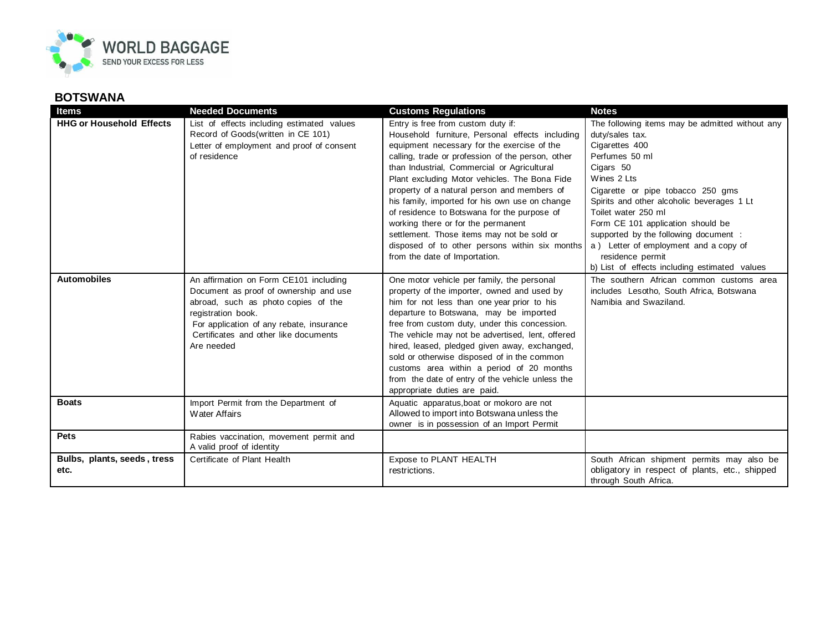

## **BOTSWANA**

| <b>Items</b>                        | <b>Needed Documents</b>                                                                                                                                                                                                                          | <b>Customs Regulations</b>                                                                                                                                                                                                                                                                                                                                                                                                                                                                                                                                                                                       | <b>Notes</b>                                                                                                                                                                                                                                                                                                                                                                                                                             |
|-------------------------------------|--------------------------------------------------------------------------------------------------------------------------------------------------------------------------------------------------------------------------------------------------|------------------------------------------------------------------------------------------------------------------------------------------------------------------------------------------------------------------------------------------------------------------------------------------------------------------------------------------------------------------------------------------------------------------------------------------------------------------------------------------------------------------------------------------------------------------------------------------------------------------|------------------------------------------------------------------------------------------------------------------------------------------------------------------------------------------------------------------------------------------------------------------------------------------------------------------------------------------------------------------------------------------------------------------------------------------|
| <b>HHG or Household Effects</b>     | List of effects including estimated values<br>Record of Goods (written in CE 101)<br>Letter of employment and proof of consent<br>of residence                                                                                                   | Entry is free from custom duty if:<br>Household furniture, Personal effects including<br>equipment necessary for the exercise of the<br>calling, trade or profession of the person, other<br>than Industrial, Commercial or Agricultural<br>Plant excluding Motor vehicles. The Bona Fide<br>property of a natural person and members of<br>his family, imported for his own use on change<br>of residence to Botswana for the purpose of<br>working there or for the permanent<br>settlement. Those items may not be sold or<br>disposed of to other persons within six months<br>from the date of Importation. | The following items may be admitted without any<br>duty/sales tax.<br>Cigarettes 400<br>Perfumes 50 ml<br>Cigars 50<br>Wines 2 Lts<br>Cigarette or pipe tobacco 250 gms<br>Spirits and other alcoholic beverages 1 Lt<br>Toilet water 250 ml<br>Form CE 101 application should be<br>supported by the following document :<br>a) Letter of employment and a copy of<br>residence permit<br>b) List of effects including estimated values |
| <b>Automobiles</b>                  | An affirmation on Form CE101 including<br>Document as proof of ownership and use<br>abroad, such as photo copies of the<br>registration book.<br>For application of any rebate, insurance<br>Certificates and other like documents<br>Are needed | One motor vehicle per family, the personal<br>property of the importer, owned and used by<br>him for not less than one year prior to his<br>departure to Botswana, may be imported<br>free from custom duty, under this concession.<br>The vehicle may not be advertised, lent, offered<br>hired, leased, pledged given away, exchanged,<br>sold or otherwise disposed of in the common<br>customs area within a period of 20 months<br>from the date of entry of the vehicle unless the<br>appropriate duties are paid.                                                                                         | The southern African common customs area<br>includes Lesotho, South Africa, Botswana<br>Namibia and Swaziland.                                                                                                                                                                                                                                                                                                                           |
| <b>Boats</b>                        | Import Permit from the Department of<br><b>Water Affairs</b>                                                                                                                                                                                     | Aquatic apparatus, boat or mokoro are not<br>Allowed to import into Botswana unless the<br>owner is in possession of an Import Permit                                                                                                                                                                                                                                                                                                                                                                                                                                                                            |                                                                                                                                                                                                                                                                                                                                                                                                                                          |
| <b>Pets</b>                         | Rabies vaccination, movement permit and<br>A valid proof of identity                                                                                                                                                                             |                                                                                                                                                                                                                                                                                                                                                                                                                                                                                                                                                                                                                  |                                                                                                                                                                                                                                                                                                                                                                                                                                          |
| Bulbs, plants, seeds, tress<br>etc. | Certificate of Plant Health                                                                                                                                                                                                                      | Expose to PLANT HEALTH<br>restrictions.                                                                                                                                                                                                                                                                                                                                                                                                                                                                                                                                                                          | South African shipment permits may also be<br>obligatory in respect of plants, etc., shipped<br>through South Africa.                                                                                                                                                                                                                                                                                                                    |